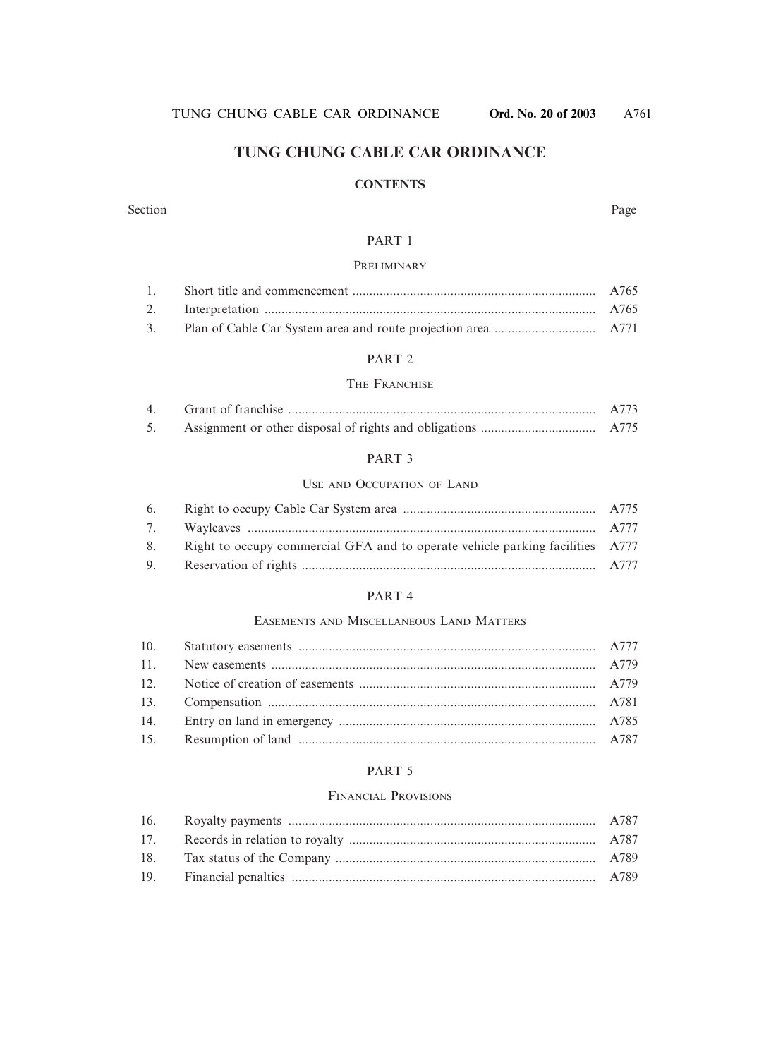## **TUNG CHUNG CABLE CAR ORDINANCE**

#### **CONTENTS**

#### Section Page

#### PART 1

#### PRELIMINARY

#### PART 2

#### THE FRANCHISE

| $\overline{4}$ | A773 |
|----------------|------|
|                |      |

#### PART 3

#### USE AND OCCUPATION OF LAND

| 8. Right to occupy commercial GFA and to operate vehicle parking facilities A777 |  |
|----------------------------------------------------------------------------------|--|
|                                                                                  |  |

#### PART 4

#### EASEMENTS AND MISCELLANEOUS LAND MATTERS

#### PART<sub>5</sub>

#### FINANCIAL PROVISIONS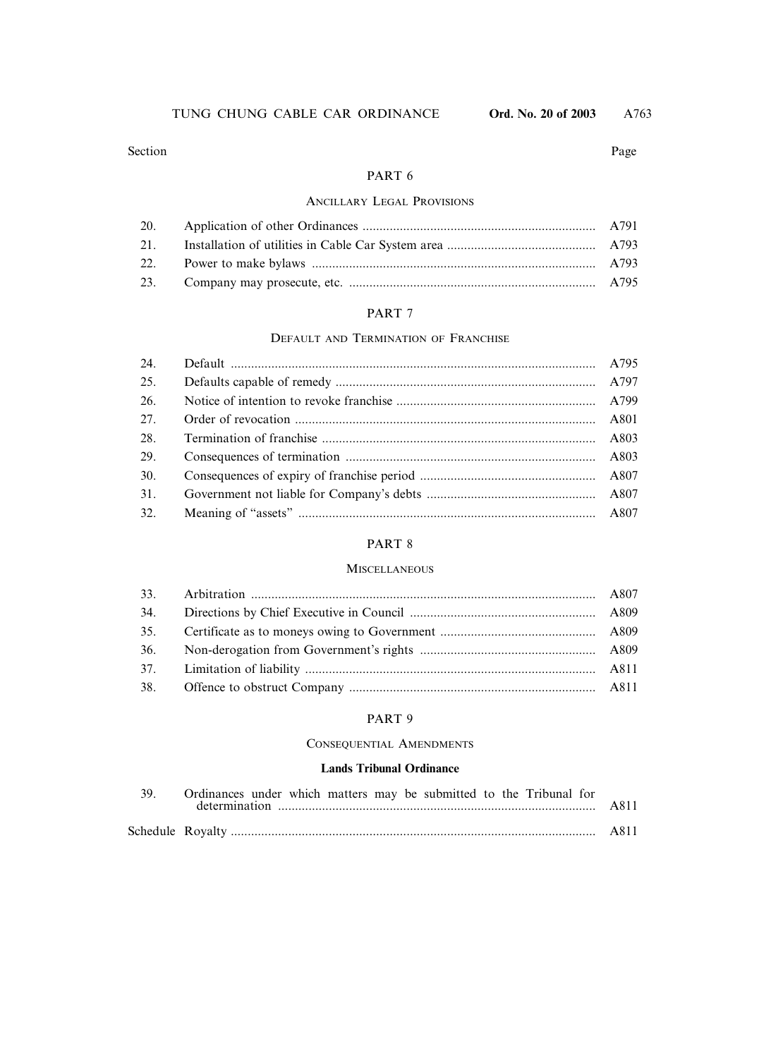#### Section Page

#### PART 6

#### ANCILLARY LEGAL PROVISIONS

#### PART 7

#### DEFAULT AND TERMINATION OF FRANCHISE

| 24. |  |
|-----|--|
| 25. |  |
| 26. |  |
| 27. |  |
| 28. |  |
| 29. |  |
| 30. |  |
| 31. |  |
| 32. |  |

#### PART 8

#### **MISCELLANEOUS**

#### PART 9

#### CONSEQUENTIAL AMENDMENTS

#### **Lands Tribunal Ordinance**

| 39. Ordinances under which matters may be submitted to the Tribunal for |  |
|-------------------------------------------------------------------------|--|
|                                                                         |  |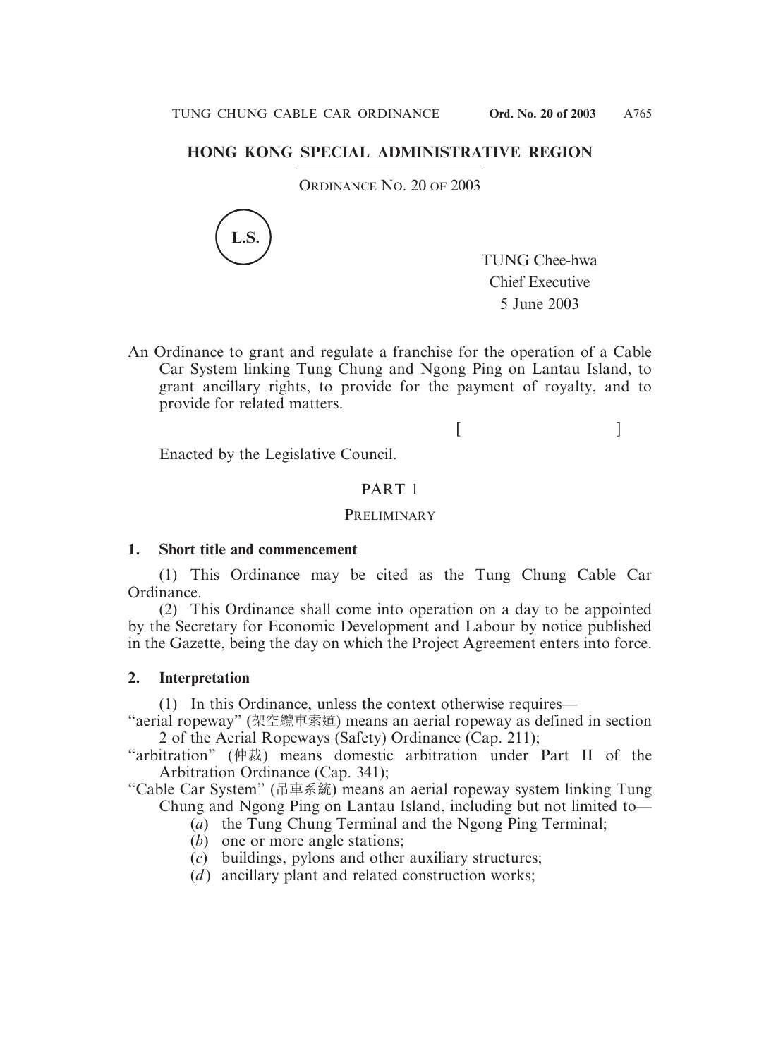## **HONG KONG SPECIAL ADMINISTRATIVE REGION**

ORDINANCE NO. 20 OF 2003



TUNG Chee-hwa Chief Executive 5 June 2003

 $[$   $]$ 

An Ordinance to grant and regulate a franchise for the operation of a Cable Car System linking Tung Chung and Ngong Ping on Lantau Island, to grant ancillary rights, to provide for the payment of royalty, and to provide for related matters.

Enacted by the Legislative Council.

#### PART 1

#### **PRELIMINARY**

#### **1. Short title and commencement**

(1) This Ordinance may be cited as the Tung Chung Cable Car Ordinance.

(2) This Ordinance shall come into operation on a day to be appointed by the Secretary for Economic Development and Labour by notice published in the Gazette, being the day on which the Project Agreement enters into force.

#### **2. Interpretation**

(1) In this Ordinance, unless the context otherwise requires—

"aerial ropeway" (架空纜車索道) means an aerial ropeway as defined in section 2 of the Aerial Ropeways (Safety) Ordinance (Cap. 211);

"arbitration" (仲裁) means domestic arbitration under Part II of the Arbitration Ordinance (Cap. 341);

"Cable Car System" (吊車系統) means an aerial ropeway system linking Tung Chung and Ngong Ping on Lantau Island, including but not limited to—

- (*a*) the Tung Chung Terminal and the Ngong Ping Terminal;
- (*b*) one or more angle stations;
- (*c*) buildings, pylons and other auxiliary structures;
- $(d)$  ancillary plant and related construction works;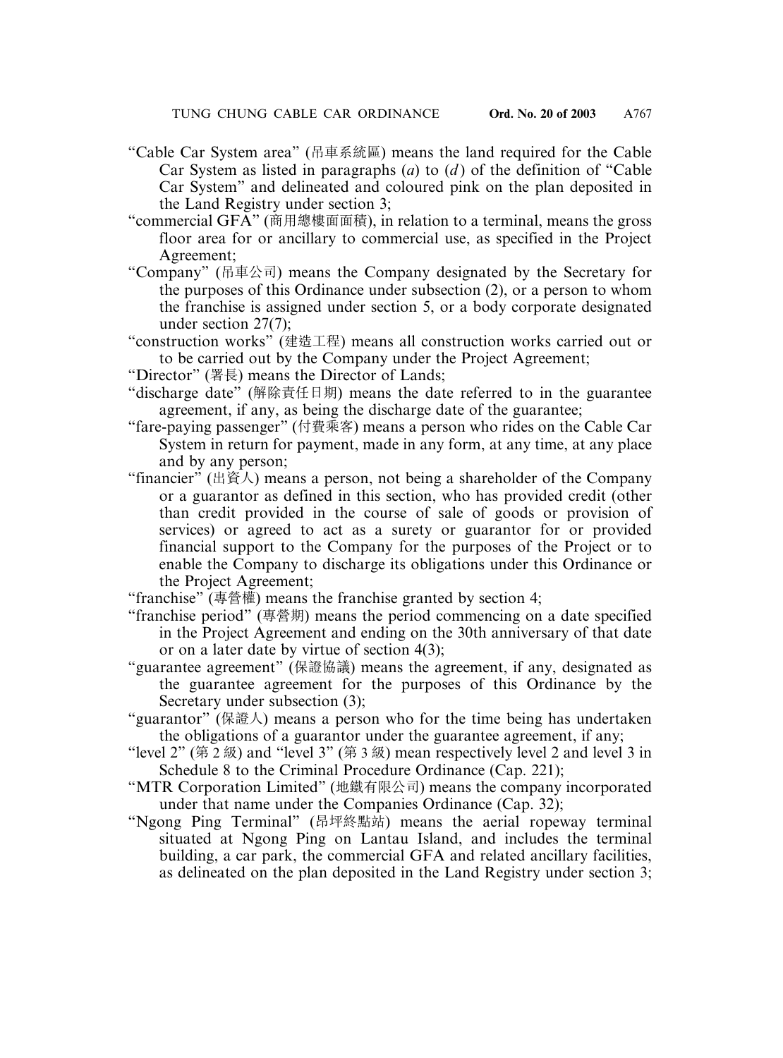- "Cable Car System area" (吊車系統區) means the land required for the Cable Car System as listed in paragraphs (*a*) to (*d* ) of the definition of "Cable Car System" and delineated and coloured pink on the plan deposited in the Land Registry under section 3;
- "commercial GFA" (商用總樓面面積), in relation to a terminal, means the gross floor area for or ancillary to commercial use, as specified in the Project Agreement;
- "Company" (吊車公司) means the Company designated by the Secretary for the purposes of this Ordinance under subsection (2), or a person to whom the franchise is assigned under section 5, or a body corporate designated under section 27(7);
- "construction works" (建造工程) means all construction works carried out or to be carried out by the Company under the Project Agreement;
- "Director" (署長) means the Director of Lands;
- "discharge date" (解除責任日期) means the date referred to in the guarantee agreement, if any, as being the discharge date of the guarantee;
- "fare-paying passenger" (付費乘客) means a person who rides on the Cable Car System in return for payment, made in any form, at any time, at any place and by any person;
- "financier" (出資人) means a person, not being a shareholder of the Company or a guarantor as defined in this section, who has provided credit (other than credit provided in the course of sale of goods or provision of services) or agreed to act as a surety or guarantor for or provided financial support to the Company for the purposes of the Project or to enable the Company to discharge its obligations under this Ordinance or the Project Agreement;
- "franchise" (專營權) means the franchise granted by section 4;
- "franchise period" (專營期) means the period commencing on a date specified in the Project Agreement and ending on the 30th anniversary of that date or on a later date by virtue of section 4(3);
- "guarantee agreement" (保證協議) means the agreement, if any, designated as the guarantee agreement for the purposes of this Ordinance by the Secretary under subsection (3);
- "guarantor" (保證人) means a person who for the time being has undertaken the obligations of a guarantor under the guarantee agreement, if any;
- "level 2" (第 2 級) and "level 3" (第 3 級) mean respectively level 2 and level 3 in Schedule 8 to the Criminal Procedure Ordinance (Cap. 221);
- "MTR Corporation Limited" (地鐵有限公司) means the company incorporated under that name under the Companies Ordinance (Cap. 32);
- "Ngong Ping Terminal" (昂坪終點站) means the aerial ropeway terminal situated at Ngong Ping on Lantau Island, and includes the terminal building, a car park, the commercial GFA and related ancillary facilities, as delineated on the plan deposited in the Land Registry under section 3;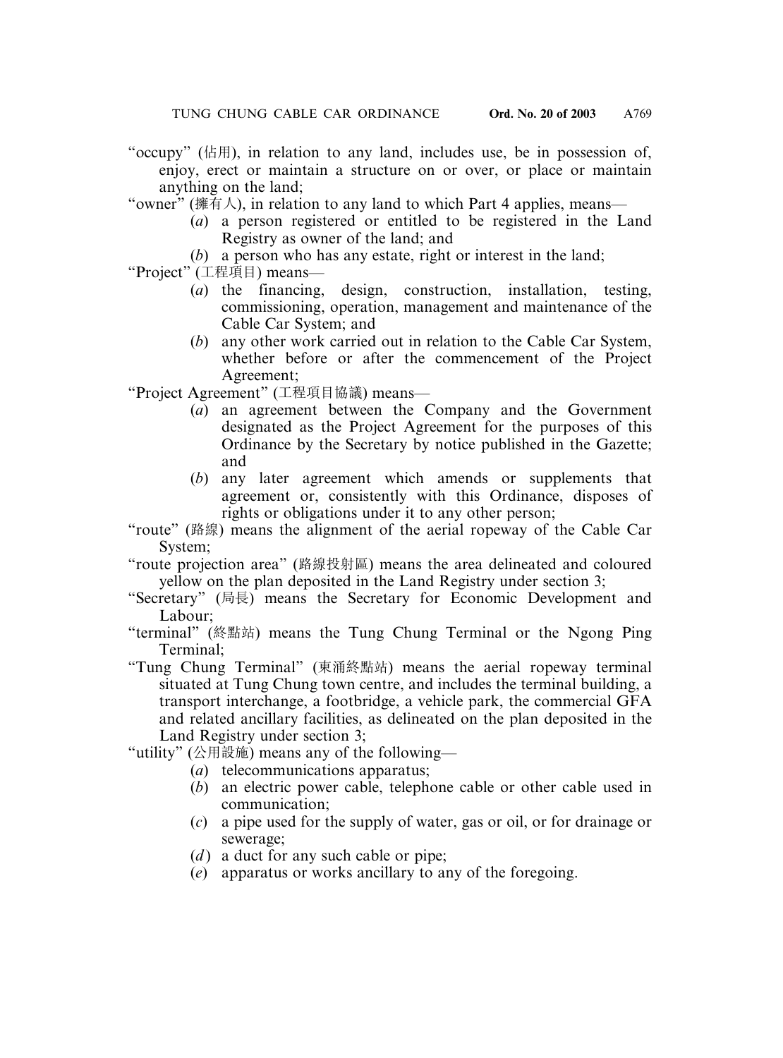- "occupy" (佔用), in relation to any land, includes use, be in possession of, enjoy, erect or maintain a structure on or over, or place or maintain anything on the land;
- "owner" (擁有人), in relation to any land to which Part 4 applies, means—
	- (*a*) a person registered or entitled to be registered in the Land Registry as owner of the land; and
	- (*b*) a person who has any estate, right or interest in the land;
- "Project" (工程項目) means—
	- (*a*) the financing, design, construction, installation, testing, commissioning, operation, management and maintenance of the Cable Car System; and
	- (*b*) any other work carried out in relation to the Cable Car System, whether before or after the commencement of the Project Agreement;

"Project Agreement" (工程項目協議) means—

- (*a*) an agreement between the Company and the Government designated as the Project Agreement for the purposes of this Ordinance by the Secretary by notice published in the Gazette; and
- (*b*) any later agreement which amends or supplements that agreement or, consistently with this Ordinance, disposes of rights or obligations under it to any other person;
- "route" (路線) means the alignment of the aerial ropeway of the Cable Car System;
- "route projection area" (路線投射區) means the area delineated and coloured yellow on the plan deposited in the Land Registry under section 3;
- "Secretary" (局長) means the Secretary for Economic Development and Labour;
- "terminal" (終點站) means the Tung Chung Terminal or the Ngong Ping Terminal;
- "Tung Chung Terminal" (東涌終點站) means the aerial ropeway terminal situated at Tung Chung town centre, and includes the terminal building, a transport interchange, a footbridge, a vehicle park, the commercial GFA and related ancillary facilities, as delineated on the plan deposited in the Land Registry under section 3;

"utility" (公用設施) means any of the following—

- (*a*) telecommunications apparatus;
- (*b*) an electric power cable, telephone cable or other cable used in communication;
- (*c*) a pipe used for the supply of water, gas or oil, or for drainage or sewerage;
- (*d*) a duct for any such cable or pipe;
- (*e*) apparatus or works ancillary to any of the foregoing.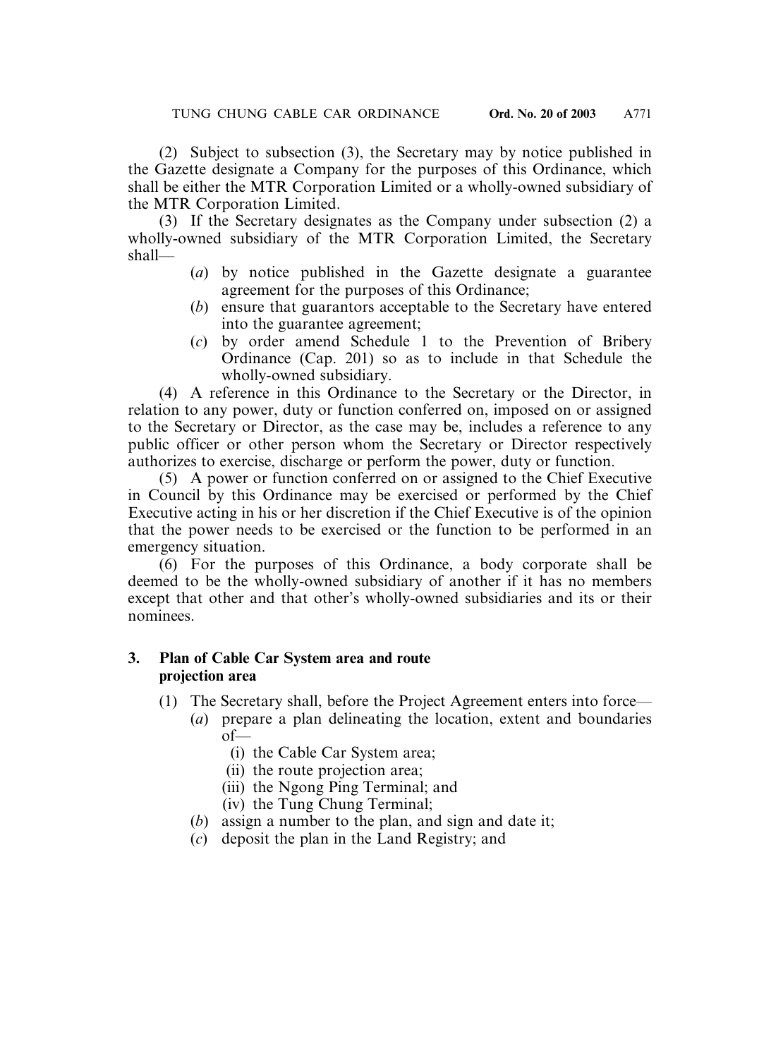(2) Subject to subsection (3), the Secretary may by notice published in the Gazette designate a Company for the purposes of this Ordinance, which shall be either the MTR Corporation Limited or a wholly-owned subsidiary of the MTR Corporation Limited.

(3) If the Secretary designates as the Company under subsection (2) a wholly-owned subsidiary of the MTR Corporation Limited, the Secretary shall—

- (*a*) by notice published in the Gazette designate a guarantee agreement for the purposes of this Ordinance;
- (*b*) ensure that guarantors acceptable to the Secretary have entered into the guarantee agreement;
- (*c*) by order amend Schedule 1 to the Prevention of Bribery Ordinance (Cap. 201) so as to include in that Schedule the wholly-owned subsidiary.

(4) A reference in this Ordinance to the Secretary or the Director, in relation to any power, duty or function conferred on, imposed on or assigned to the Secretary or Director, as the case may be, includes a reference to any public officer or other person whom the Secretary or Director respectively authorizes to exercise, discharge or perform the power, duty or function.

(5) A power or function conferred on or assigned to the Chief Executive in Council by this Ordinance may be exercised or performed by the Chief Executive acting in his or her discretion if the Chief Executive is of the opinion that the power needs to be exercised or the function to be performed in an emergency situation.

(6) For the purposes of this Ordinance, a body corporate shall be deemed to be the wholly-owned subsidiary of another if it has no members except that other and that other's wholly-owned subsidiaries and its or their nominees.

#### **3. Plan of Cable Car System area and route projection area**

- (1) The Secretary shall, before the Project Agreement enters into force—
	- (*a*) prepare a plan delineating the location, extent and boundaries of—
		- (i) the Cable Car System area;
		- (ii) the route projection area;
		- (iii) the Ngong Ping Terminal; and
		- (iv) the Tung Chung Terminal;
	- (*b*) assign a number to the plan, and sign and date it;
	- (*c*) deposit the plan in the Land Registry; and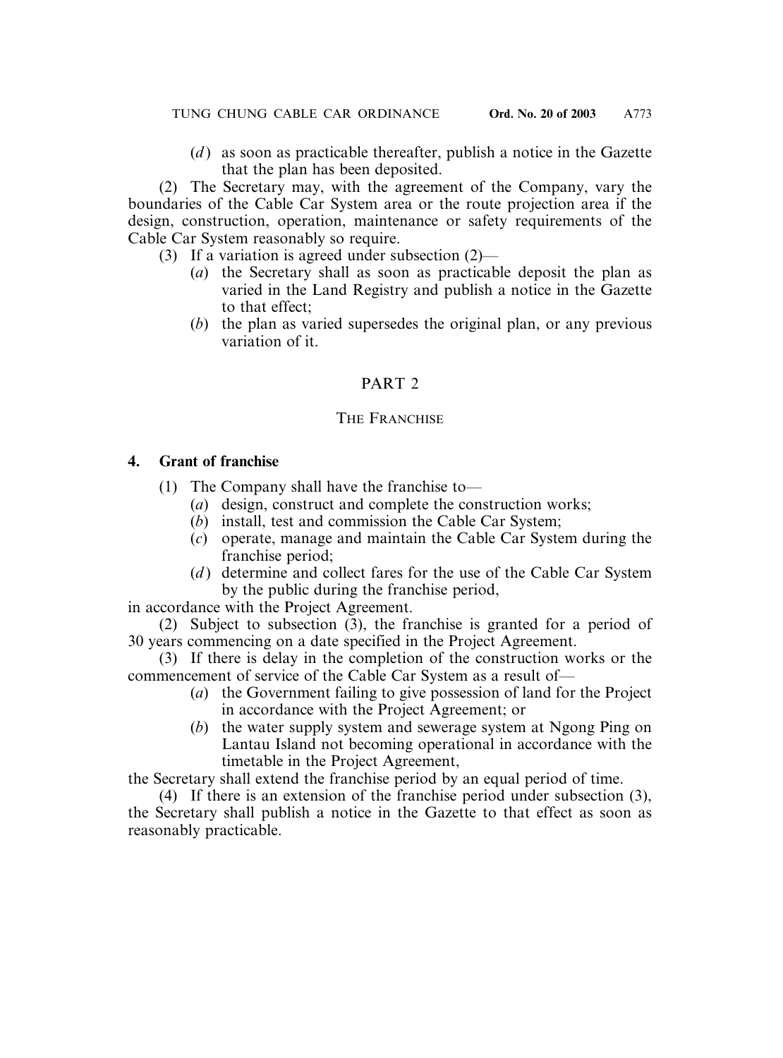(*d*) as soon as practicable thereafter, publish a notice in the Gazette that the plan has been deposited.

(2) The Secretary may, with the agreement of the Company, vary the boundaries of the Cable Car System area or the route projection area if the design, construction, operation, maintenance or safety requirements of the Cable Car System reasonably so require.

- (3) If a variation is agreed under subsection (2)—
	- (*a*) the Secretary shall as soon as practicable deposit the plan as varied in the Land Registry and publish a notice in the Gazette to that effect;
	- (*b*) the plan as varied supersedes the original plan, or any previous variation of it.

# PART 2

## THE FRANCHISE

## **4. Grant of franchise**

- (1) The Company shall have the franchise to—
	- (*a*) design, construct and complete the construction works;
	- (*b*) install, test and commission the Cable Car System;
	- (*c*) operate, manage and maintain the Cable Car System during the franchise period;
	- (*d*) determine and collect fares for the use of the Cable Car System by the public during the franchise period,

in accordance with the Project Agreement.

(2) Subject to subsection (3), the franchise is granted for a period of 30 years commencing on a date specified in the Project Agreement.

(3) If there is delay in the completion of the construction works or the commencement of service of the Cable Car System as a result of—

- (*a*) the Government failing to give possession of land for the Project in accordance with the Project Agreement; or
- (*b*) the water supply system and sewerage system at Ngong Ping on Lantau Island not becoming operational in accordance with the timetable in the Project Agreement,

the Secretary shall extend the franchise period by an equal period of time.

(4) If there is an extension of the franchise period under subsection (3), the Secretary shall publish a notice in the Gazette to that effect as soon as reasonably practicable.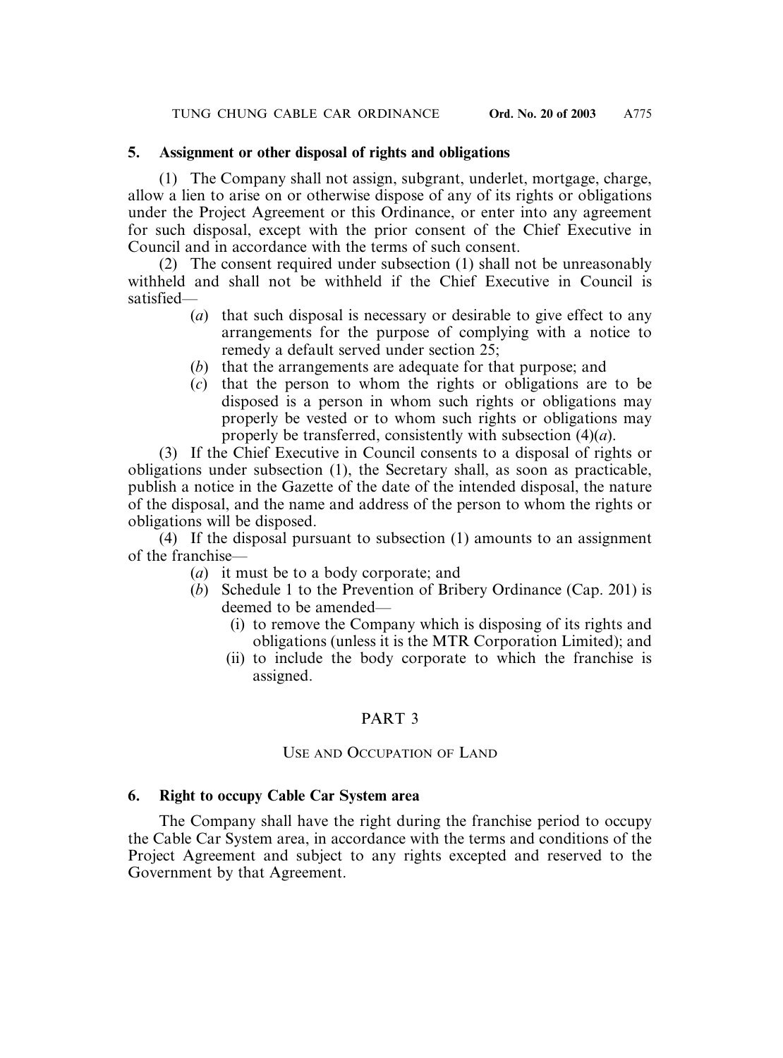#### **5. Assignment or other disposal of rights and obligations**

(1) The Company shall not assign, subgrant, underlet, mortgage, charge, allow a lien to arise on or otherwise dispose of any of its rights or obligations under the Project Agreement or this Ordinance, or enter into any agreement for such disposal, except with the prior consent of the Chief Executive in Council and in accordance with the terms of such consent.

(2) The consent required under subsection (1) shall not be unreasonably withheld and shall not be withheld if the Chief Executive in Council is satisfied—

- (*a*) that such disposal is necessary or desirable to give effect to any arrangements for the purpose of complying with a notice to remedy a default served under section 25;
- (*b*) that the arrangements are adequate for that purpose; and
- (*c*) that the person to whom the rights or obligations are to be disposed is a person in whom such rights or obligations may properly be vested or to whom such rights or obligations may properly be transferred, consistently with subsection (4)(*a*).

(3) If the Chief Executive in Council consents to a disposal of rights or obligations under subsection (1), the Secretary shall, as soon as practicable, publish a notice in the Gazette of the date of the intended disposal, the nature of the disposal, and the name and address of the person to whom the rights or obligations will be disposed.

 $(4)$  If the disposal pursuant to subsection  $(1)$  amounts to an assignment of the franchise—

- (*a*) it must be to a body corporate; and
- (*b*) Schedule 1 to the Prevention of Bribery Ordinance (Cap. 201) is deemed to be amended—
	- (i) to remove the Company which is disposing of its rights and obligations (unless it is the MTR Corporation Limited); and
	- (ii) to include the body corporate to which the franchise is assigned.

## PART 3

#### USE AND OCCUPATION OF LAND

#### **6. Right to occupy Cable Car System area**

The Company shall have the right during the franchise period to occupy the Cable Car System area, in accordance with the terms and conditions of the Project Agreement and subject to any rights excepted and reserved to the Government by that Agreement.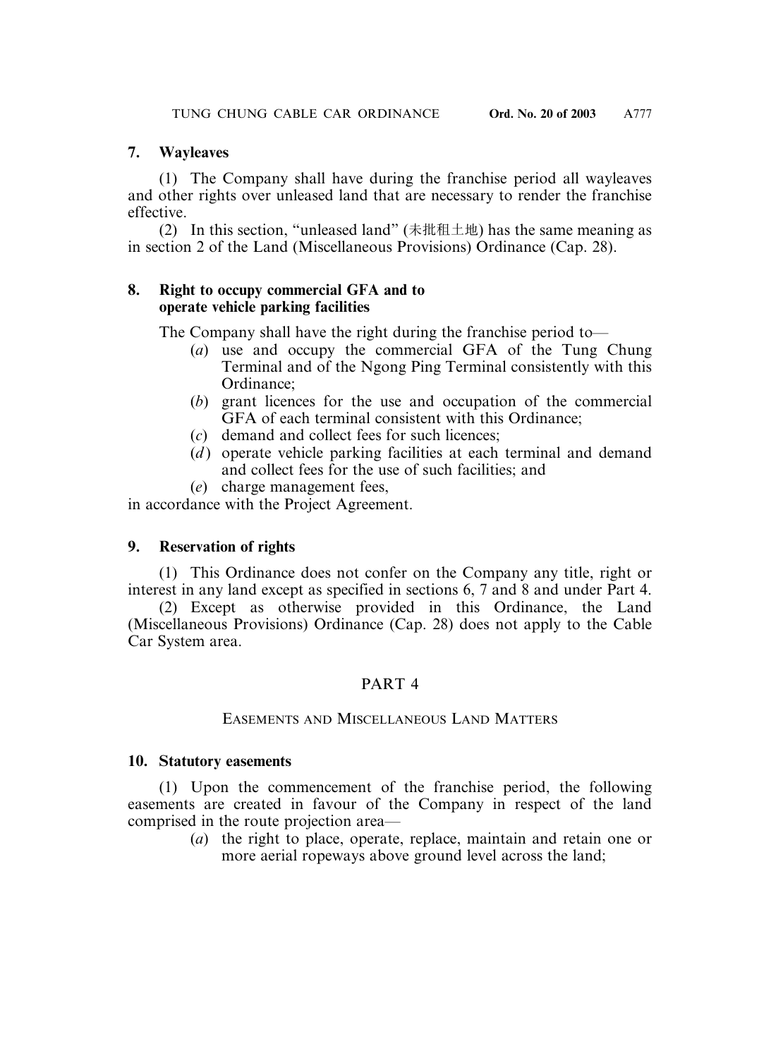## **7. Wayleaves**

(1) The Company shall have during the franchise period all wayleaves and other rights over unleased land that are necessary to render the franchise effective.

(2) In this section, "unleased land" (未批租土地) has the same meaning as in section 2 of the Land (Miscellaneous Provisions) Ordinance (Cap. 28).

## **8. Right to occupy commercial GFA and to operate vehicle parking facilities**

The Company shall have the right during the franchise period to—

- (*a*) use and occupy the commercial GFA of the Tung Chung Terminal and of the Ngong Ping Terminal consistently with this Ordinance;
- (*b*) grant licences for the use and occupation of the commercial GFA of each terminal consistent with this Ordinance;
- (*c*) demand and collect fees for such licences;
- (*d*) operate vehicle parking facilities at each terminal and demand and collect fees for the use of such facilities; and
- (*e*) charge management fees,

in accordance with the Project Agreement.

# **9. Reservation of rights**

(1) This Ordinance does not confer on the Company any title, right or interest in any land except as specified in sections 6, 7 and 8 and under Part 4.

(2) Except as otherwise provided in this Ordinance, the Land (Miscellaneous Provisions) Ordinance (Cap. 28) does not apply to the Cable Car System area.

# PART 4

## EASEMENTS AND MISCELLANEOUS LAND MATTERS

## **10. Statutory easements**

(1) Upon the commencement of the franchise period, the following easements are created in favour of the Company in respect of the land comprised in the route projection area—

(*a*) the right to place, operate, replace, maintain and retain one or more aerial ropeways above ground level across the land;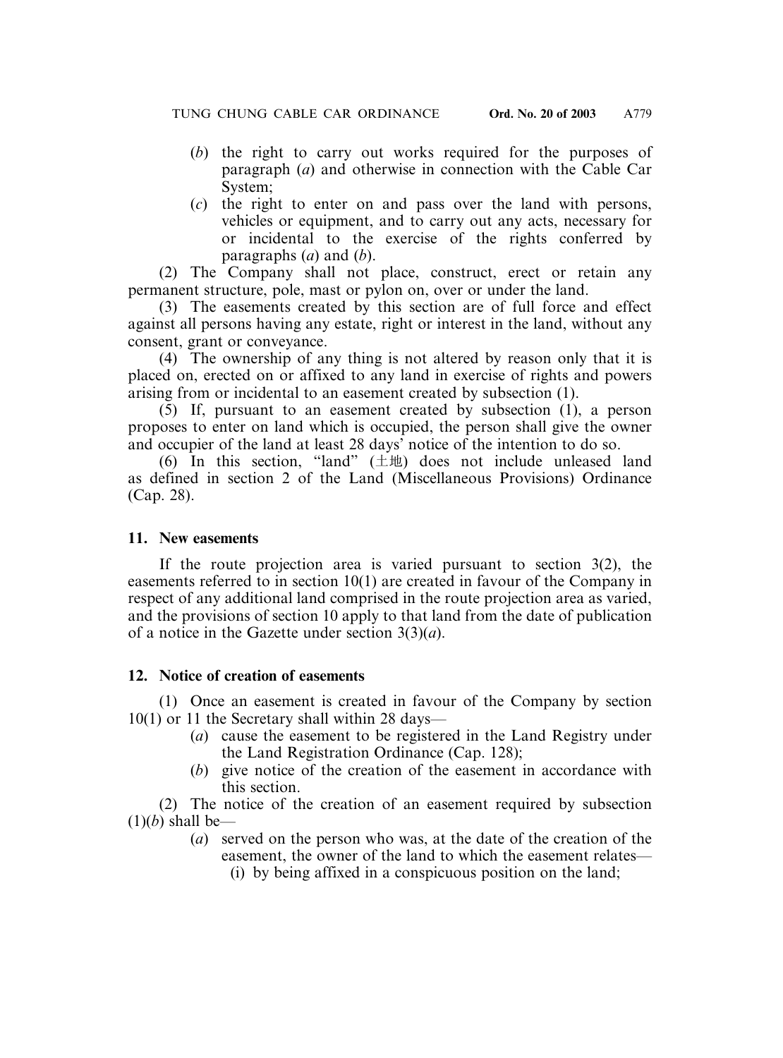- (*b*) the right to carry out works required for the purposes of paragraph (*a*) and otherwise in connection with the Cable Car System;
- (*c*) the right to enter on and pass over the land with persons, vehicles or equipment, and to carry out any acts, necessary for or incidental to the exercise of the rights conferred by paragraphs (*a*) and (*b*).

(2) The Company shall not place, construct, erect or retain any permanent structure, pole, mast or pylon on, over or under the land.

(3) The easements created by this section are of full force and effect against all persons having any estate, right or interest in the land, without any consent, grant or conveyance.

(4) The ownership of any thing is not altered by reason only that it is placed on, erected on or affixed to any land in exercise of rights and powers arising from or incidental to an easement created by subsection (1).

(5) If, pursuant to an easement created by subsection (1), a person proposes to enter on land which is occupied, the person shall give the owner and occupier of the land at least 28 days' notice of the intention to do so.

(6) In this section, "land"  $(\pm \text{)}$  does not include unleased land as defined in section 2 of the Land (Miscellaneous Provisions) Ordinance (Cap. 28).

#### **11. New easements**

If the route projection area is varied pursuant to section 3(2), the easements referred to in section 10(1) are created in favour of the Company in respect of any additional land comprised in the route projection area as varied, and the provisions of section 10 apply to that land from the date of publication of a notice in the Gazette under section 3(3)(*a*).

## **12. Notice of creation of easements**

(1) Once an easement is created in favour of the Company by section 10(1) or 11 the Secretary shall within 28 days—

- (*a*) cause the easement to be registered in the Land Registry under the Land Registration Ordinance (Cap. 128);
- (*b*) give notice of the creation of the easement in accordance with this section.

(2) The notice of the creation of an easement required by subsection  $(1)(b)$  shall be—

- (*a*) served on the person who was, at the date of the creation of the easement, the owner of the land to which the easement relates—
	- (i) by being affixed in a conspicuous position on the land;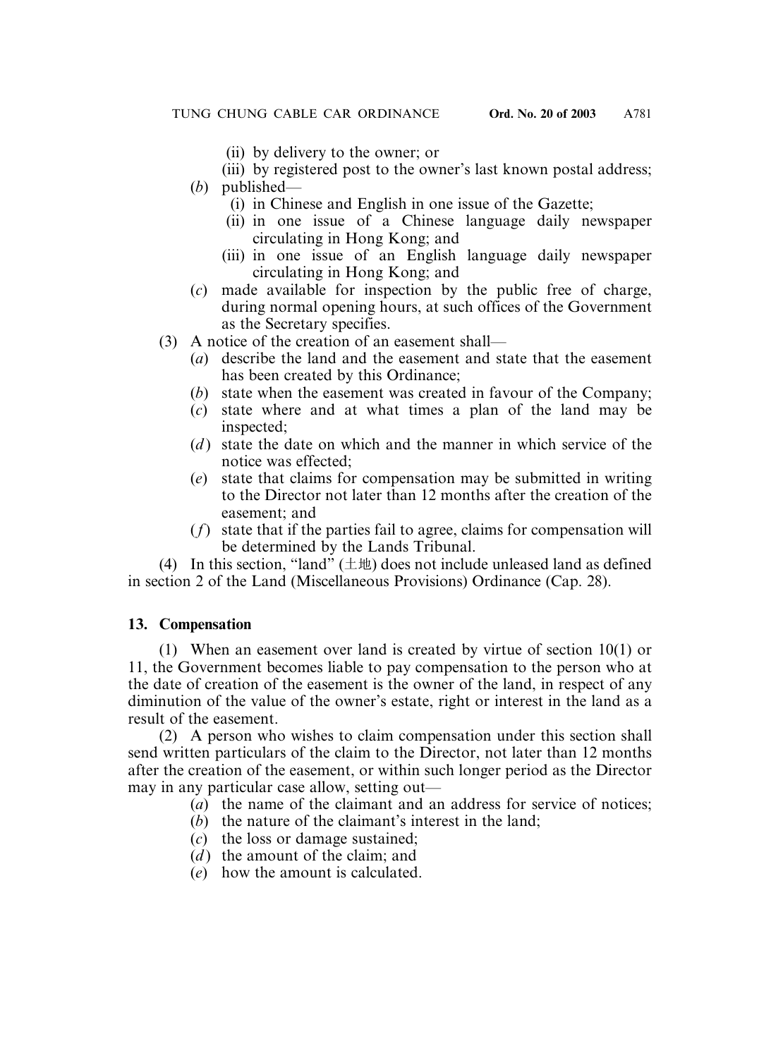(ii) by delivery to the owner; or

(iii) by registered post to the owner's last known postal address;

- (*b*) published—
	- (i) in Chinese and English in one issue of the Gazette;
	- (ii) in one issue of a Chinese language daily newspaper circulating in Hong Kong; and
	- (iii) in one issue of an English language daily newspaper circulating in Hong Kong; and
- (*c*) made available for inspection by the public free of charge, during normal opening hours, at such offices of the Government as the Secretary specifies.
- (3) A notice of the creation of an easement shall—
	- (*a*) describe the land and the easement and state that the easement has been created by this Ordinance;
	- (*b*) state when the easement was created in favour of the Company;
	- (*c*) state where and at what times a plan of the land may be inspected;
	- (*d*) state the date on which and the manner in which service of the notice was effected;
	- (*e*) state that claims for compensation may be submitted in writing to the Director not later than 12 months after the creation of the easement; and
	- (*f*) state that if the parties fail to agree, claims for compensation will be determined by the Lands Tribunal.

(4) In this section, "land"  $(\pm \text{1})$  does not include unleased land as defined in section 2 of the Land (Miscellaneous Provisions) Ordinance (Cap. 28).

## **13. Compensation**

(1) When an easement over land is created by virtue of section 10(1) or 11, the Government becomes liable to pay compensation to the person who at the date of creation of the easement is the owner of the land, in respect of any diminution of the value of the owner's estate, right or interest in the land as a result of the easement.

(2) A person who wishes to claim compensation under this section shall send written particulars of the claim to the Director, not later than 12 months after the creation of the easement, or within such longer period as the Director may in any particular case allow, setting out—

- (*a*) the name of the claimant and an address for service of notices;
- (*b*) the nature of the claimant's interest in the land;
- (*c*) the loss or damage sustained;
- (*d*) the amount of the claim; and
- (*e*) how the amount is calculated.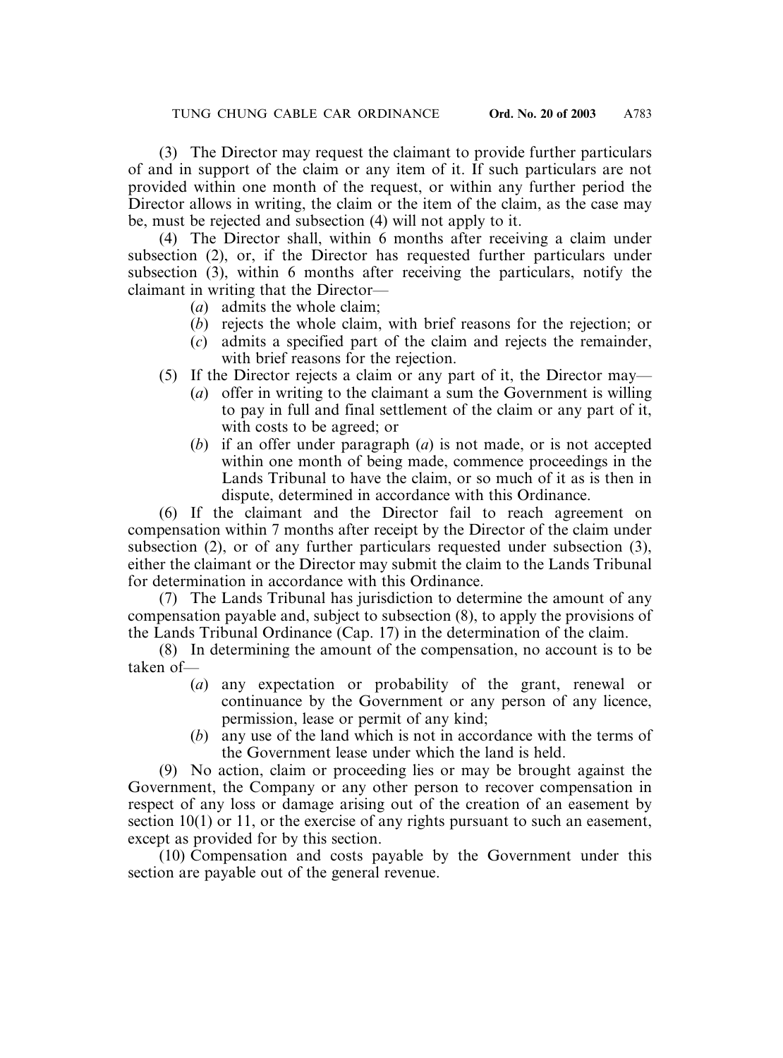(3) The Director may request the claimant to provide further particulars of and in support of the claim or any item of it. If such particulars are not provided within one month of the request, or within any further period the Director allows in writing, the claim or the item of the claim, as the case may be, must be rejected and subsection (4) will not apply to it.

(4) The Director shall, within 6 months after receiving a claim under subsection (2), or, if the Director has requested further particulars under subsection (3), within 6 months after receiving the particulars, notify the claimant in writing that the Director—

- (*a*) admits the whole claim;
- (*b*) rejects the whole claim, with brief reasons for the rejection; or
- (*c*) admits a specified part of the claim and rejects the remainder, with brief reasons for the rejection.
- (5) If the Director rejects a claim or any part of it, the Director may—
	- (*a*) offer in writing to the claimant a sum the Government is willing to pay in full and final settlement of the claim or any part of it, with costs to be agreed; or
	- (*b*) if an offer under paragraph (*a*) is not made, or is not accepted within one month of being made, commence proceedings in the Lands Tribunal to have the claim, or so much of it as is then in dispute, determined in accordance with this Ordinance.

(6) If the claimant and the Director fail to reach agreement on compensation within 7 months after receipt by the Director of the claim under subsection (2), or of any further particulars requested under subsection (3), either the claimant or the Director may submit the claim to the Lands Tribunal for determination in accordance with this Ordinance.

(7) The Lands Tribunal has jurisdiction to determine the amount of any compensation payable and, subject to subsection (8), to apply the provisions of the Lands Tribunal Ordinance (Cap. 17) in the determination of the claim.

(8) In determining the amount of the compensation, no account is to be taken of—

- (*a*) any expectation or probability of the grant, renewal or continuance by the Government or any person of any licence, permission, lease or permit of any kind;
- (*b*) any use of the land which is not in accordance with the terms of the Government lease under which the land is held.

(9) No action, claim or proceeding lies or may be brought against the Government, the Company or any other person to recover compensation in respect of any loss or damage arising out of the creation of an easement by section 10(1) or 11, or the exercise of any rights pursuant to such an easement, except as provided for by this section.

(10) Compensation and costs payable by the Government under this section are payable out of the general revenue.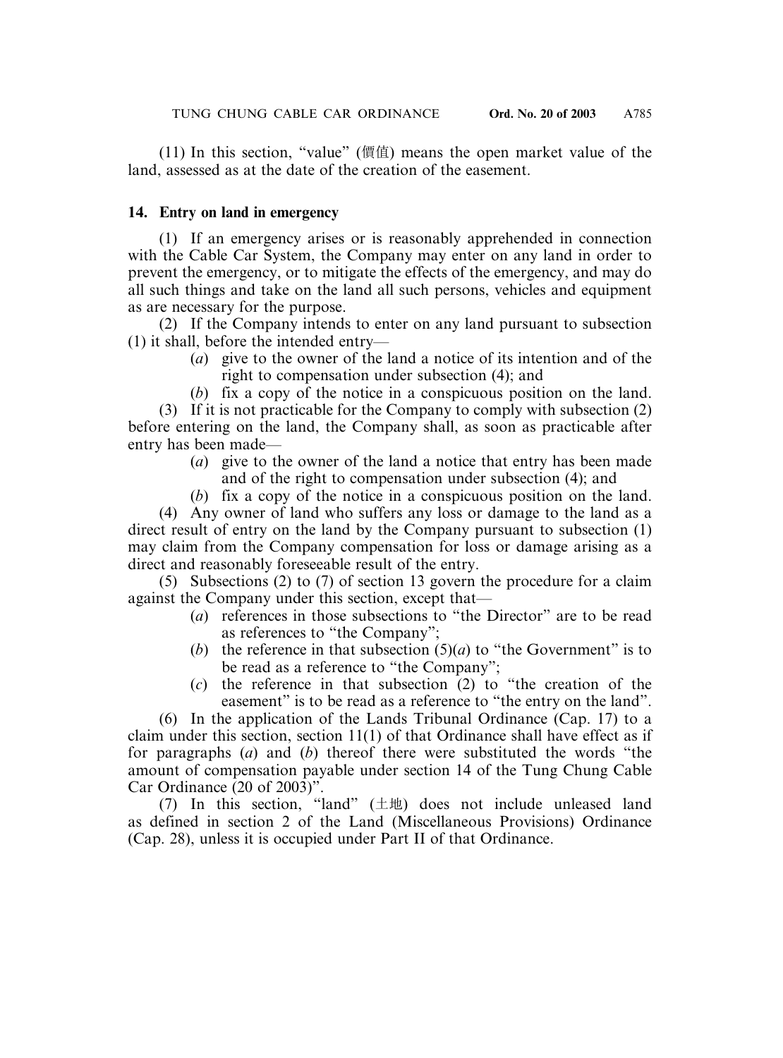(11) In this section, "value" (價值) means the open market value of the land, assessed as at the date of the creation of the easement.

## **14. Entry on land in emergency**

(1) If an emergency arises or is reasonably apprehended in connection with the Cable Car System, the Company may enter on any land in order to prevent the emergency, or to mitigate the effects of the emergency, and may do all such things and take on the land all such persons, vehicles and equipment as are necessary for the purpose.

(2) If the Company intends to enter on any land pursuant to subsection (1) it shall, before the intended entry—

- (*a*) give to the owner of the land a notice of its intention and of the right to compensation under subsection (4); and
- (*b*) fix a copy of the notice in a conspicuous position on the land.

(3) If it is not practicable for the Company to comply with subsection (2) before entering on the land, the Company shall, as soon as practicable after entry has been made—

- (*a*) give to the owner of the land a notice that entry has been made and of the right to compensation under subsection (4); and
- (*b*) fix a copy of the notice in a conspicuous position on the land.

(4) Any owner of land who suffers any loss or damage to the land as a direct result of entry on the land by the Company pursuant to subsection (1) may claim from the Company compensation for loss or damage arising as a direct and reasonably foreseeable result of the entry.

(5) Subsections (2) to (7) of section 13 govern the procedure for a claim against the Company under this section, except that—

- (*a*) references in those subsections to "the Director" are to be read as references to "the Company";
- (*b*) the reference in that subsection  $(5)(a)$  to "the Government" is to be read as a reference to "the Company";
- (*c*) the reference in that subsection (2) to "the creation of the easement" is to be read as a reference to "the entry on the land".

(6) In the application of the Lands Tribunal Ordinance (Cap. 17) to a claim under this section, section 11(1) of that Ordinance shall have effect as if for paragraphs (*a*) and (*b*) thereof there were substituted the words "the amount of compensation payable under section 14 of the Tung Chung Cable Car Ordinance (20 of 2003)".

(7) In this section, "land"  $(\pm \text{1})$  does not include unleased land as defined in section 2 of the Land (Miscellaneous Provisions) Ordinance (Cap. 28), unless it is occupied under Part II of that Ordinance.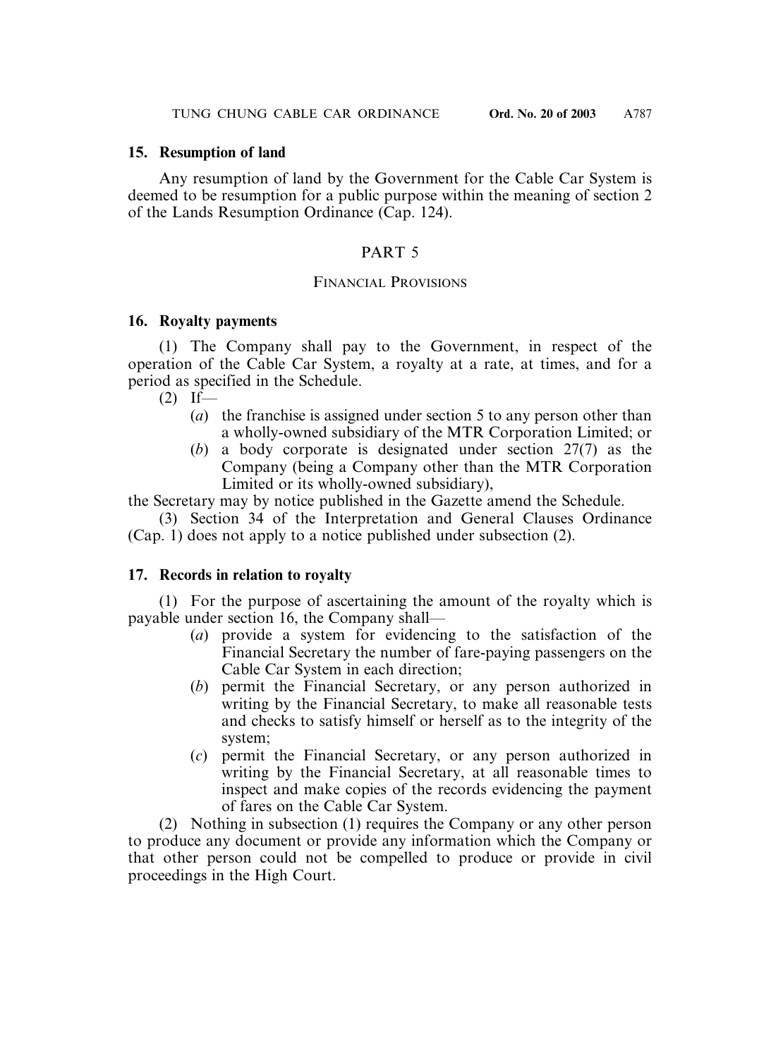#### **15. Resumption of land**

Any resumption of land by the Government for the Cable Car System is deemed to be resumption for a public purpose within the meaning of section 2 of the Lands Resumption Ordinance (Cap. 124).

#### PART 5

#### FINANCIAL PROVISIONS

#### **16. Royalty payments**

(1) The Company shall pay to the Government, in respect of the operation of the Cable Car System, a royalty at a rate, at times, and for a period as specified in the Schedule.

 $(2)$  If—

- (*a*) the franchise is assigned under section 5 to any person other than a wholly-owned subsidiary of the MTR Corporation Limited; or
- (*b*) a body corporate is designated under section 27(7) as the Company (being a Company other than the MTR Corporation Limited or its wholly-owned subsidiary),

the Secretary may by notice published in the Gazette amend the Schedule.

(3) Section 34 of the Interpretation and General Clauses Ordinance (Cap. 1) does not apply to a notice published under subsection (2).

## **17. Records in relation to royalty**

(1) For the purpose of ascertaining the amount of the royalty which is payable under section 16, the Company shall—

- (*a*) provide a system for evidencing to the satisfaction of the Financial Secretary the number of fare-paying passengers on the Cable Car System in each direction;
- (*b*) permit the Financial Secretary, or any person authorized in writing by the Financial Secretary, to make all reasonable tests and checks to satisfy himself or herself as to the integrity of the system;
- (*c*) permit the Financial Secretary, or any person authorized in writing by the Financial Secretary, at all reasonable times to inspect and make copies of the records evidencing the payment of fares on the Cable Car System.

(2) Nothing in subsection (1) requires the Company or any other person to produce any document or provide any information which the Company or that other person could not be compelled to produce or provide in civil proceedings in the High Court.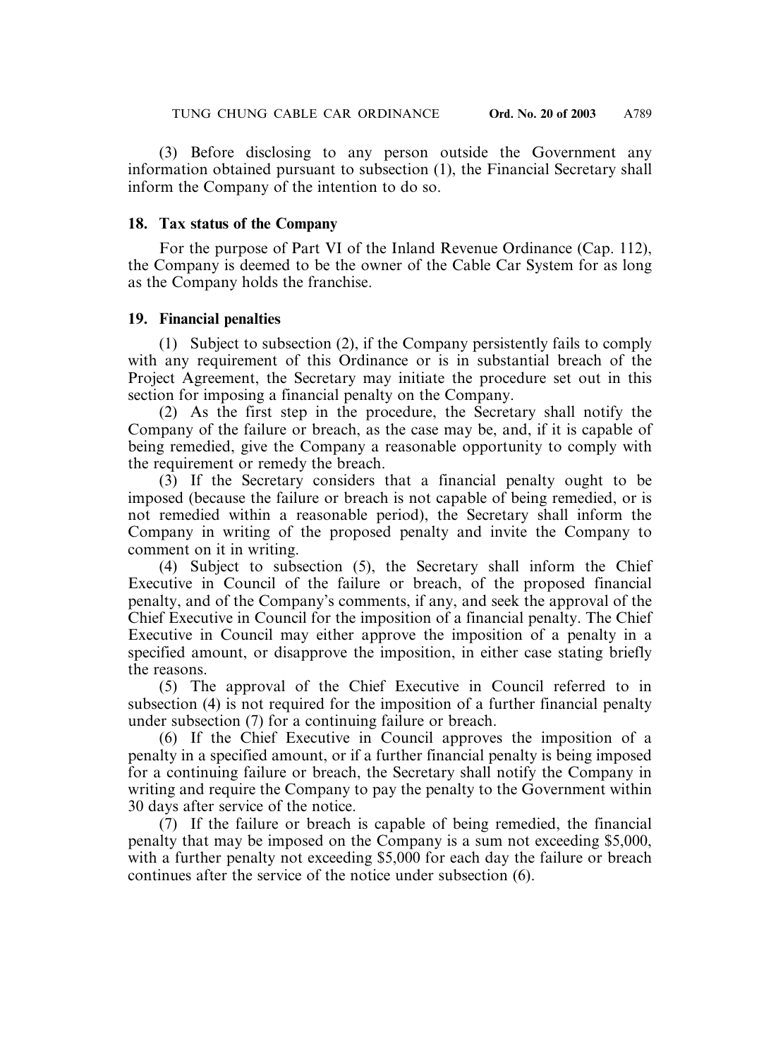(3) Before disclosing to any person outside the Government any information obtained pursuant to subsection (1), the Financial Secretary shall inform the Company of the intention to do so.

#### **18. Tax status of the Company**

For the purpose of Part VI of the Inland Revenue Ordinance (Cap. 112), the Company is deemed to be the owner of the Cable Car System for as long as the Company holds the franchise.

#### **19. Financial penalties**

(1) Subject to subsection (2), if the Company persistently fails to comply with any requirement of this Ordinance or is in substantial breach of the Project Agreement, the Secretary may initiate the procedure set out in this section for imposing a financial penalty on the Company.

(2) As the first step in the procedure, the Secretary shall notify the Company of the failure or breach, as the case may be, and, if it is capable of being remedied, give the Company a reasonable opportunity to comply with the requirement or remedy the breach.

(3) If the Secretary considers that a financial penalty ought to be imposed (because the failure or breach is not capable of being remedied, or is not remedied within a reasonable period), the Secretary shall inform the Company in writing of the proposed penalty and invite the Company to comment on it in writing.

(4) Subject to subsection (5), the Secretary shall inform the Chief Executive in Council of the failure or breach, of the proposed financial penalty, and of the Company's comments, if any, and seek the approval of the Chief Executive in Council for the imposition of a financial penalty. The Chief Executive in Council may either approve the imposition of a penalty in a specified amount, or disapprove the imposition, in either case stating briefly the reasons.

(5) The approval of the Chief Executive in Council referred to in subsection (4) is not required for the imposition of a further financial penalty under subsection (7) for a continuing failure or breach.

(6) If the Chief Executive in Council approves the imposition of a penalty in a specified amount, or if a further financial penalty is being imposed for a continuing failure or breach, the Secretary shall notify the Company in writing and require the Company to pay the penalty to the Government within 30 days after service of the notice.

(7) If the failure or breach is capable of being remedied, the financial penalty that may be imposed on the Company is a sum not exceeding \$5,000, with a further penalty not exceeding \$5,000 for each day the failure or breach continues after the service of the notice under subsection (6).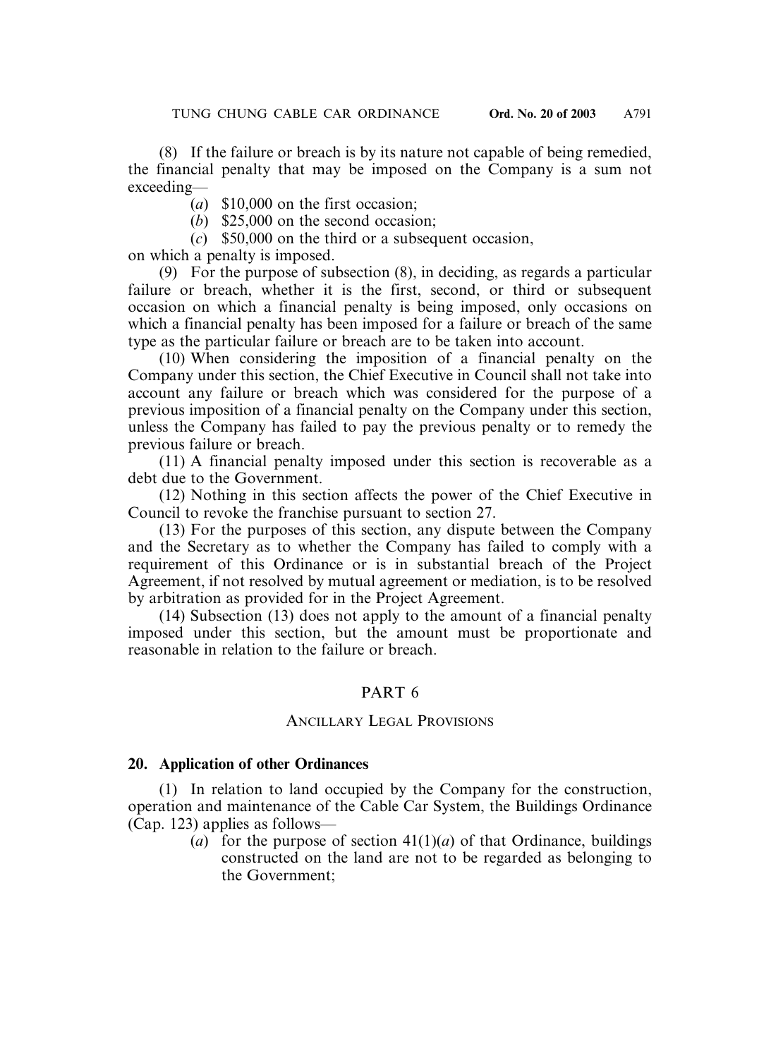(8) If the failure or breach is by its nature not capable of being remedied, the financial penalty that may be imposed on the Company is a sum not exceeding—

- (*a*) \$10,000 on the first occasion;
- (*b*) \$25,000 on the second occasion;
- (*c*) \$50,000 on the third or a subsequent occasion,

on which a penalty is imposed.

(9) For the purpose of subsection (8), in deciding, as regards a particular failure or breach, whether it is the first, second, or third or subsequent occasion on which a financial penalty is being imposed, only occasions on which a financial penalty has been imposed for a failure or breach of the same type as the particular failure or breach are to be taken into account.

(10) When considering the imposition of a financial penalty on the Company under this section, the Chief Executive in Council shall not take into account any failure or breach which was considered for the purpose of a previous imposition of a financial penalty on the Company under this section, unless the Company has failed to pay the previous penalty or to remedy the previous failure or breach.

(11) A financial penalty imposed under this section is recoverable as a debt due to the Government.

(12) Nothing in this section affects the power of the Chief Executive in Council to revoke the franchise pursuant to section 27.

(13) For the purposes of this section, any dispute between the Company and the Secretary as to whether the Company has failed to comply with a requirement of this Ordinance or is in substantial breach of the Project Agreement, if not resolved by mutual agreement or mediation, is to be resolved by arbitration as provided for in the Project Agreement.

(14) Subsection (13) does not apply to the amount of a financial penalty imposed under this section, but the amount must be proportionate and reasonable in relation to the failure or breach.

## PART 6

#### ANCILLARY LEGAL PROVISIONS

#### **20. Application of other Ordinances**

(1) In relation to land occupied by the Company for the construction, operation and maintenance of the Cable Car System, the Buildings Ordinance (Cap. 123) applies as follows—

> (*a*) for the purpose of section  $41(1)(a)$  of that Ordinance, buildings constructed on the land are not to be regarded as belonging to the Government;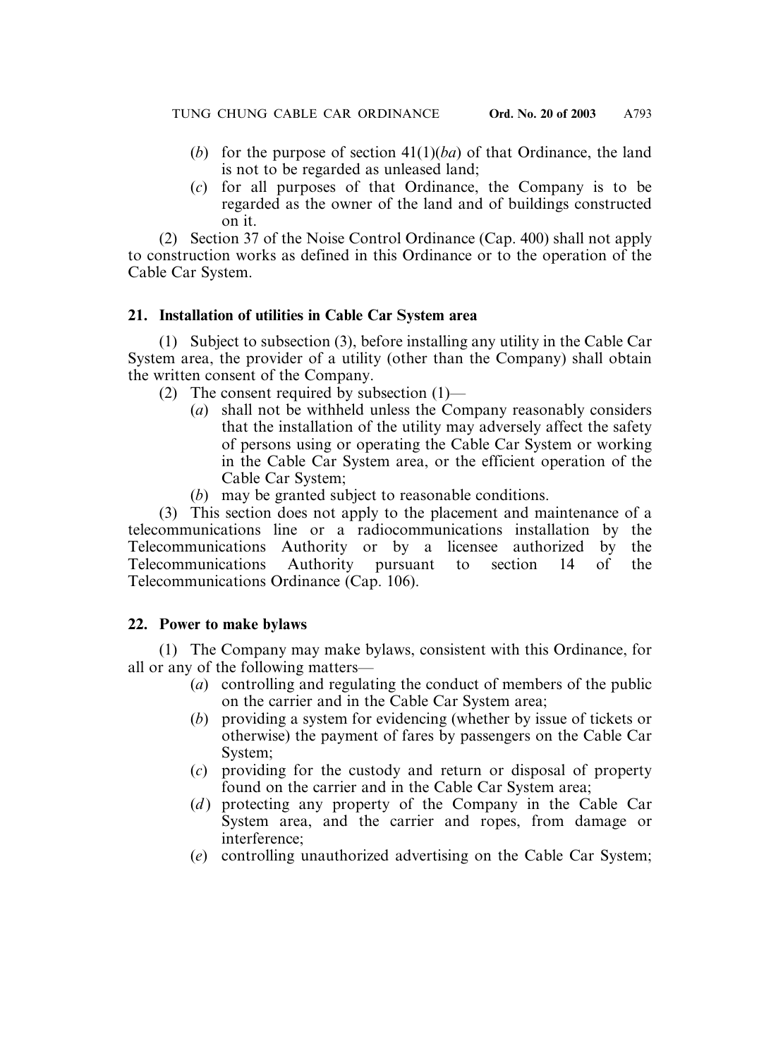- (*b*) for the purpose of section 41(1)(*ba*) of that Ordinance, the land is not to be regarded as unleased land;
- (*c*) for all purposes of that Ordinance, the Company is to be regarded as the owner of the land and of buildings constructed on it.

(2) Section 37 of the Noise Control Ordinance (Cap. 400) shall not apply to construction works as defined in this Ordinance or to the operation of the Cable Car System.

## **21. Installation of utilities in Cable Car System area**

(1) Subject to subsection (3), before installing any utility in the Cable Car System area, the provider of a utility (other than the Company) shall obtain the written consent of the Company.

- (2) The consent required by subsection (1)—
	- (*a*) shall not be withheld unless the Company reasonably considers that the installation of the utility may adversely affect the safety of persons using or operating the Cable Car System or working in the Cable Car System area, or the efficient operation of the Cable Car System;
	- (*b*) may be granted subject to reasonable conditions.

(3) This section does not apply to the placement and maintenance of a telecommunications line or a radiocommunications installation by the Telecommunications Authority or by a licensee authorized by the Telecommunications Authority pursuant to section 14 of the Telecommunications Ordinance (Cap. 106).

## **22. Power to make bylaws**

(1) The Company may make bylaws, consistent with this Ordinance, for all or any of the following matters—

- (*a*) controlling and regulating the conduct of members of the public on the carrier and in the Cable Car System area;
- (*b*) providing a system for evidencing (whether by issue of tickets or otherwise) the payment of fares by passengers on the Cable Car System;
- (*c*) providing for the custody and return or disposal of property found on the carrier and in the Cable Car System area;
- (*d*) protecting any property of the Company in the Cable Car System area, and the carrier and ropes, from damage or interference;
- (*e*) controlling unauthorized advertising on the Cable Car System;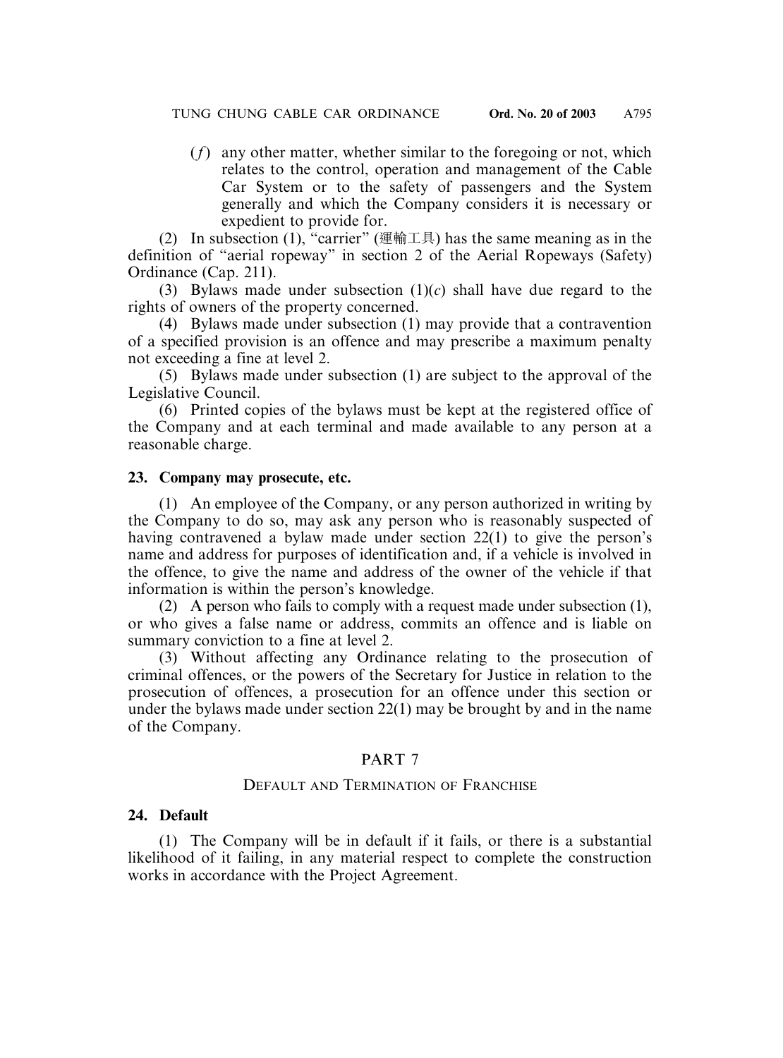(*f*) any other matter, whether similar to the foregoing or not, which relates to the control, operation and management of the Cable Car System or to the safety of passengers and the System generally and which the Company considers it is necessary or expedient to provide for.

(2) In subsection (1), "carrier" (運輸工具) has the same meaning as in the definition of "aerial ropeway" in section 2 of the Aerial Ropeways (Safety) Ordinance (Cap. 211).

(3) Bylaws made under subsection (1)(*c*) shall have due regard to the rights of owners of the property concerned.

(4) Bylaws made under subsection (1) may provide that a contravention of a specified provision is an offence and may prescribe a maximum penalty not exceeding a fine at level 2.

(5) Bylaws made under subsection (1) are subject to the approval of the Legislative Council.

(6) Printed copies of the bylaws must be kept at the registered office of the Company and at each terminal and made available to any person at a reasonable charge.

#### **23. Company may prosecute, etc.**

(1) An employee of the Company, or any person authorized in writing by the Company to do so, may ask any person who is reasonably suspected of having contravened a bylaw made under section 22(1) to give the person's name and address for purposes of identification and, if a vehicle is involved in the offence, to give the name and address of the owner of the vehicle if that information is within the person's knowledge.

(2) A person who fails to comply with a request made under subsection (1), or who gives a false name or address, commits an offence and is liable on summary conviction to a fine at level 2.

(3) Without affecting any Ordinance relating to the prosecution of criminal offences, or the powers of the Secretary for Justice in relation to the prosecution of offences, a prosecution for an offence under this section or under the bylaws made under section 22(1) may be brought by and in the name of the Company.

## PART 7

## DEFAULT AND TERMINATION OF FRANCHISE

#### **24. Default**

(1) The Company will be in default if it fails, or there is a substantial likelihood of it failing, in any material respect to complete the construction works in accordance with the Project Agreement.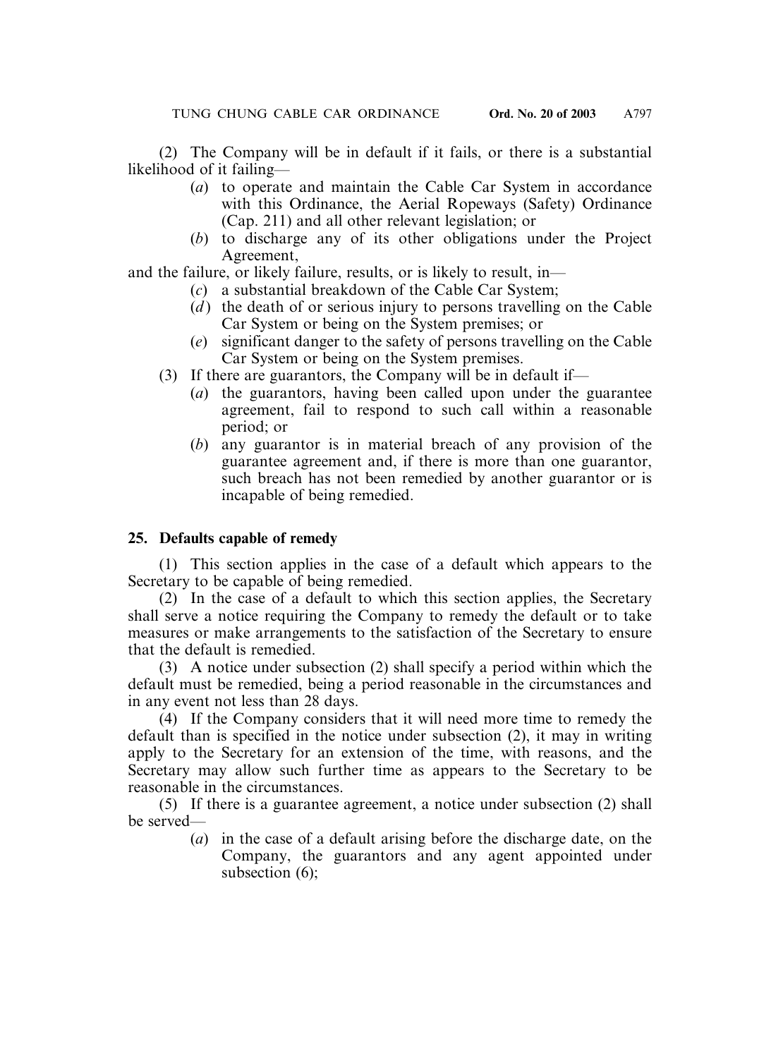(2) The Company will be in default if it fails, or there is a substantial likelihood of it failing—

- (*a*) to operate and maintain the Cable Car System in accordance with this Ordinance, the Aerial Ropeways (Safety) Ordinance (Cap. 211) and all other relevant legislation; or
- (*b*) to discharge any of its other obligations under the Project Agreement,

and the failure, or likely failure, results, or is likely to result, in—

- (*c*) a substantial breakdown of the Cable Car System;
- (*d*) the death of or serious injury to persons travelling on the Cable Car System or being on the System premises; or
- (*e*) significant danger to the safety of persons travelling on the Cable Car System or being on the System premises.
- (3) If there are guarantors, the Company will be in default if—
	- (*a*) the guarantors, having been called upon under the guarantee agreement, fail to respond to such call within a reasonable period; or
	- (*b*) any guarantor is in material breach of any provision of the guarantee agreement and, if there is more than one guarantor, such breach has not been remedied by another guarantor or is incapable of being remedied.

## **25. Defaults capable of remedy**

(1) This section applies in the case of a default which appears to the Secretary to be capable of being remedied.

(2) In the case of a default to which this section applies, the Secretary shall serve a notice requiring the Company to remedy the default or to take measures or make arrangements to the satisfaction of the Secretary to ensure that the default is remedied.

(3) A notice under subsection (2) shall specify a period within which the default must be remedied, being a period reasonable in the circumstances and in any event not less than 28 days.

(4) If the Company considers that it will need more time to remedy the default than is specified in the notice under subsection (2), it may in writing apply to the Secretary for an extension of the time, with reasons, and the Secretary may allow such further time as appears to the Secretary to be reasonable in the circumstances.

(5) If there is a guarantee agreement, a notice under subsection (2) shall be served—

(*a*) in the case of a default arising before the discharge date, on the Company, the guarantors and any agent appointed under subsection (6);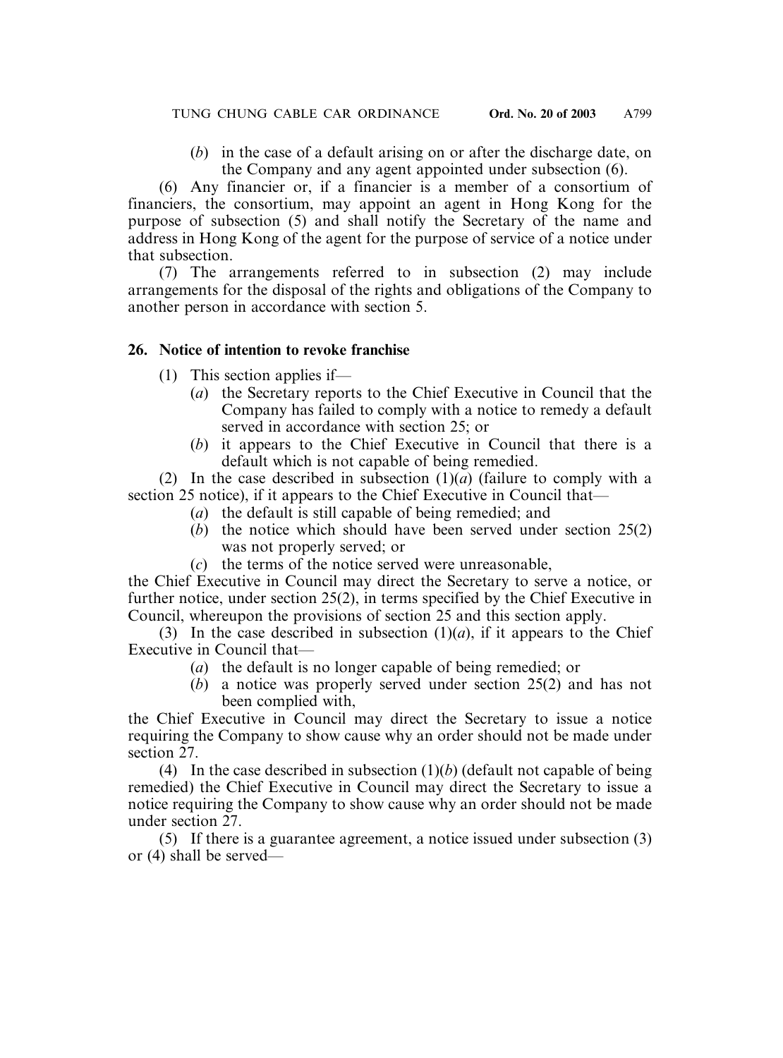(*b*) in the case of a default arising on or after the discharge date, on the Company and any agent appointed under subsection (6).

(6) Any financier or, if a financier is a member of a consortium of financiers, the consortium, may appoint an agent in Hong Kong for the purpose of subsection (5) and shall notify the Secretary of the name and address in Hong Kong of the agent for the purpose of service of a notice under that subsection.

(7) The arrangements referred to in subsection (2) may include arrangements for the disposal of the rights and obligations of the Company to another person in accordance with section 5.

## **26. Notice of intention to revoke franchise**

- (1) This section applies if—
	- (*a*) the Secretary reports to the Chief Executive in Council that the Company has failed to comply with a notice to remedy a default served in accordance with section 25; or
	- (*b*) it appears to the Chief Executive in Council that there is a default which is not capable of being remedied.

(2) In the case described in subsection  $(1)(a)$  (failure to comply with a section 25 notice), if it appears to the Chief Executive in Council that—

- (*a*) the default is still capable of being remedied; and
- (*b*) the notice which should have been served under section 25(2) was not properly served; or
- (*c*) the terms of the notice served were unreasonable,

the Chief Executive in Council may direct the Secretary to serve a notice, or further notice, under section 25(2), in terms specified by the Chief Executive in Council, whereupon the provisions of section 25 and this section apply.

(3) In the case described in subsection  $(1)(a)$ , if it appears to the Chief Executive in Council that—

- (*a*) the default is no longer capable of being remedied; or
- (*b*) a notice was properly served under section 25(2) and has not been complied with,

the Chief Executive in Council may direct the Secretary to issue a notice requiring the Company to show cause why an order should not be made under section 27.

(4) In the case described in subsection  $(1)(b)$  (default not capable of being remedied) the Chief Executive in Council may direct the Secretary to issue a notice requiring the Company to show cause why an order should not be made under section 27.

(5) If there is a guarantee agreement, a notice issued under subsection (3) or (4) shall be served—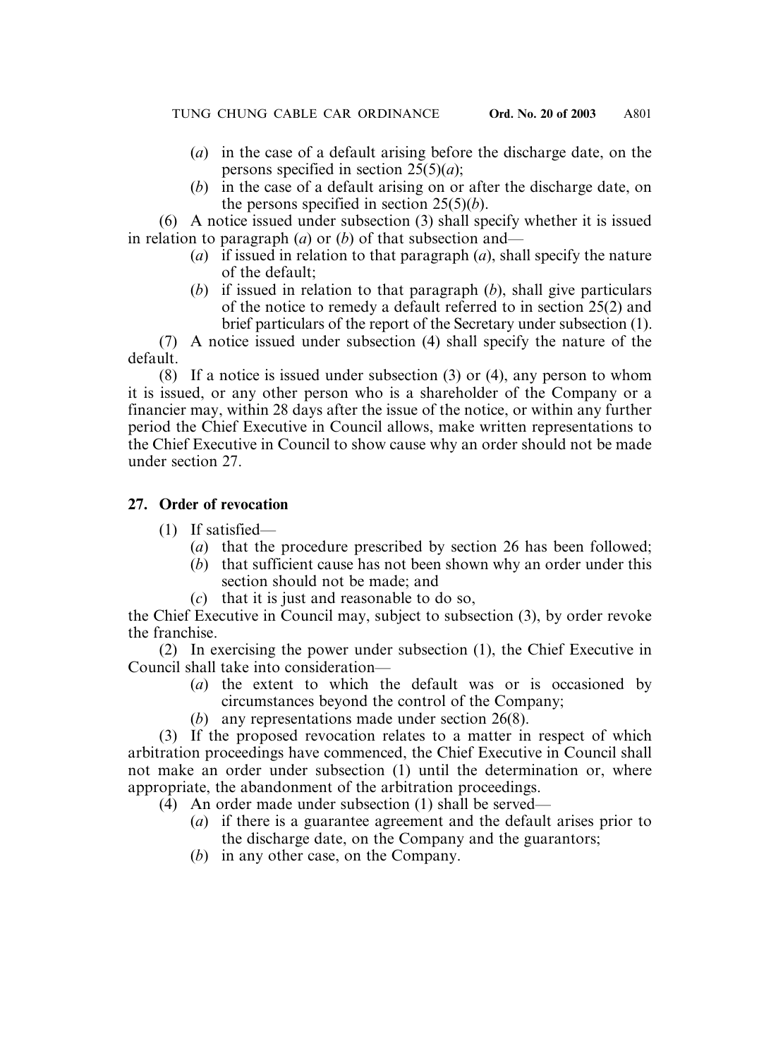- (*a*) in the case of a default arising before the discharge date, on the persons specified in section  $25(5)(a)$ ;
- (*b*) in the case of a default arising on or after the discharge date, on the persons specified in section 25(5)(*b*).

(6) A notice issued under subsection (3) shall specify whether it is issued in relation to paragraph (*a*) or (*b*) of that subsection and—

- (*a*) if issued in relation to that paragraph (*a*), shall specify the nature of the default;
- (*b*) if issued in relation to that paragraph (*b*), shall give particulars of the notice to remedy a default referred to in section 25(2) and brief particulars of the report of the Secretary under subsection (1).

(7) A notice issued under subsection (4) shall specify the nature of the default.

(8) If a notice is issued under subsection (3) or (4), any person to whom it is issued, or any other person who is a shareholder of the Company or a financier may, within 28 days after the issue of the notice, or within any further period the Chief Executive in Council allows, make written representations to the Chief Executive in Council to show cause why an order should not be made under section 27.

## **27. Order of revocation**

- (1) If satisfied—
	- (*a*) that the procedure prescribed by section 26 has been followed;
	- (*b*) that sufficient cause has not been shown why an order under this section should not be made; and
	- (*c*) that it is just and reasonable to do so,

the Chief Executive in Council may, subject to subsection (3), by order revoke the franchise.

(2) In exercising the power under subsection (1), the Chief Executive in Council shall take into consideration—

- (*a*) the extent to which the default was or is occasioned by circumstances beyond the control of the Company;
- (*b*) any representations made under section 26(8).

(3) If the proposed revocation relates to a matter in respect of which arbitration proceedings have commenced, the Chief Executive in Council shall not make an order under subsection (1) until the determination or, where appropriate, the abandonment of the arbitration proceedings.

- (4) An order made under subsection (1) shall be served—
	- (*a*) if there is a guarantee agreement and the default arises prior to the discharge date, on the Company and the guarantors;
	- (*b*) in any other case, on the Company.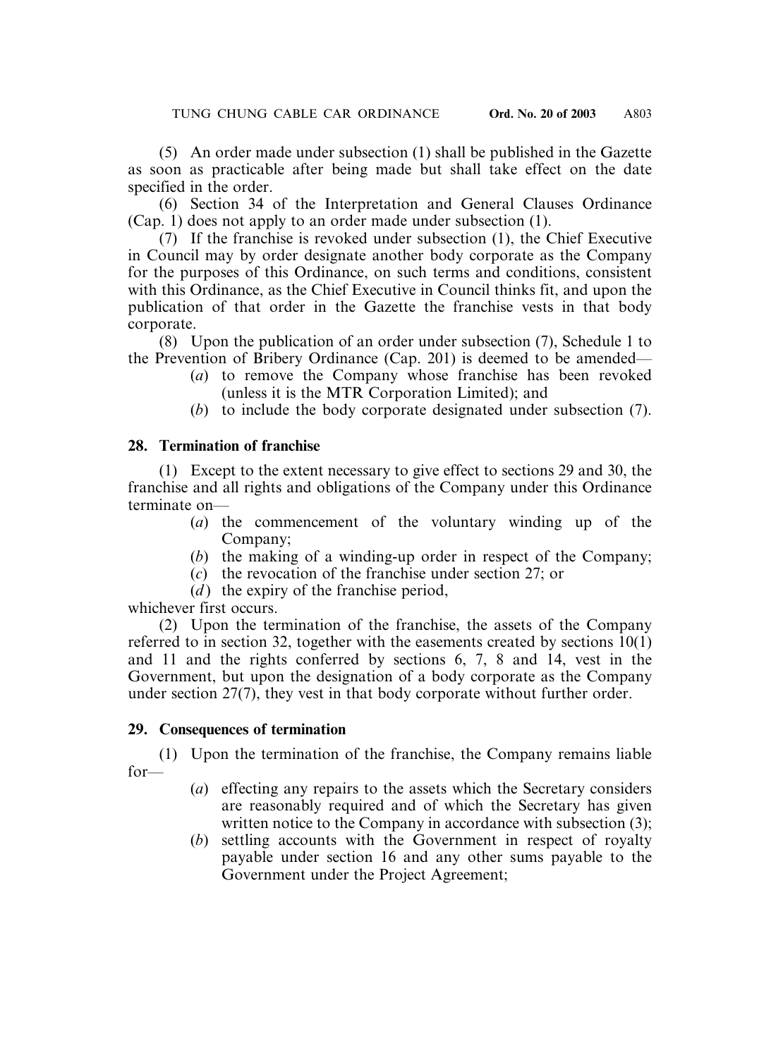(5) An order made under subsection (1) shall be published in the Gazette as soon as practicable after being made but shall take effect on the date specified in the order.

(6) Section 34 of the Interpretation and General Clauses Ordinance (Cap. 1) does not apply to an order made under subsection (1).

(7) If the franchise is revoked under subsection (1), the Chief Executive in Council may by order designate another body corporate as the Company for the purposes of this Ordinance, on such terms and conditions, consistent with this Ordinance, as the Chief Executive in Council thinks fit, and upon the publication of that order in the Gazette the franchise vests in that body corporate.

(8) Upon the publication of an order under subsection (7), Schedule 1 to the Prevention of Bribery Ordinance (Cap. 201) is deemed to be amended—

- (*a*) to remove the Company whose franchise has been revoked (unless it is the MTR Corporation Limited); and
- (*b*) to include the body corporate designated under subsection (7).

## **28. Termination of franchise**

(1) Except to the extent necessary to give effect to sections 29 and 30, the franchise and all rights and obligations of the Company under this Ordinance terminate on—

- (*a*) the commencement of the voluntary winding up of the Company;
- (*b*) the making of a winding-up order in respect of the Company;
- (*c*) the revocation of the franchise under section 27; or
- $(d)$  the expiry of the franchise period,

whichever first occurs.

(2) Upon the termination of the franchise, the assets of the Company referred to in section 32, together with the easements created by sections  $10(1)$ and 11 and the rights conferred by sections 6, 7, 8 and 14, vest in the Government, but upon the designation of a body corporate as the Company under section 27(7), they vest in that body corporate without further order.

## **29. Consequences of termination**

(1) Upon the termination of the franchise, the Company remains liable for—

- (*a*) effecting any repairs to the assets which the Secretary considers are reasonably required and of which the Secretary has given written notice to the Company in accordance with subsection (3);
- (*b*) settling accounts with the Government in respect of royalty payable under section 16 and any other sums payable to the Government under the Project Agreement;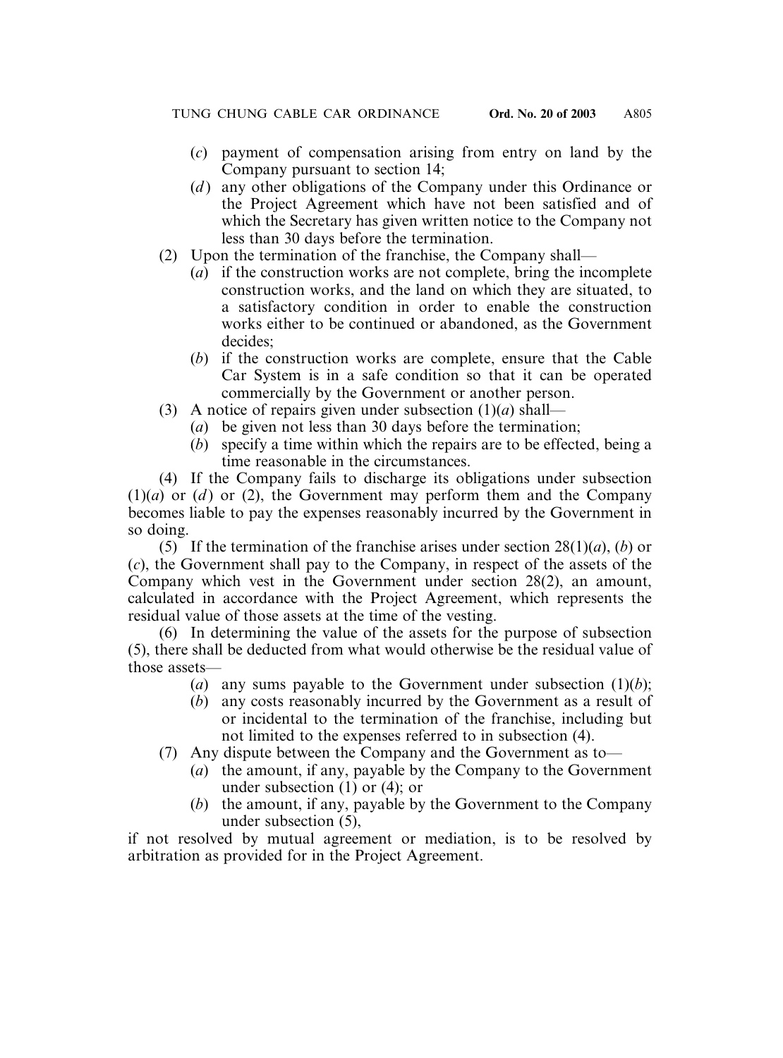- (*c*) payment of compensation arising from entry on land by the Company pursuant to section 14;
- (*d* ) any other obligations of the Company under this Ordinance or the Project Agreement which have not been satisfied and of which the Secretary has given written notice to the Company not less than 30 days before the termination.
- (2) Upon the termination of the franchise, the Company shall—
	- (*a*) if the construction works are not complete, bring the incomplete construction works, and the land on which they are situated, to a satisfactory condition in order to enable the construction works either to be continued or abandoned, as the Government decides;
	- (*b*) if the construction works are complete, ensure that the Cable Car System is in a safe condition so that it can be operated commercially by the Government or another person.
- (3) A notice of repairs given under subsection (1)(*a*) shall—
	- (*a*) be given not less than 30 days before the termination;
	- (*b*) specify a time within which the repairs are to be effected, being a time reasonable in the circumstances.

(4) If the Company fails to discharge its obligations under subsection  $(1)(a)$  or  $(d)$  or  $(2)$ , the Government may perform them and the Company becomes liable to pay the expenses reasonably incurred by the Government in so doing.

(5) If the termination of the franchise arises under section 28(1)(*a*), (*b*) or (*c*), the Government shall pay to the Company, in respect of the assets of the Company which vest in the Government under section 28(2), an amount, calculated in accordance with the Project Agreement, which represents the residual value of those assets at the time of the vesting.

(6) In determining the value of the assets for the purpose of subsection (5), there shall be deducted from what would otherwise be the residual value of those assets—

- (*a*) any sums payable to the Government under subsection  $(1)(b)$ ;
- (*b*) any costs reasonably incurred by the Government as a result of or incidental to the termination of the franchise, including but not limited to the expenses referred to in subsection (4).
- (7) Any dispute between the Company and the Government as to—
	- (*a*) the amount, if any, payable by the Company to the Government under subsection (1) or (4); or
	- (*b*) the amount, if any, payable by the Government to the Company under subsection (5),

if not resolved by mutual agreement or mediation, is to be resolved by arbitration as provided for in the Project Agreement.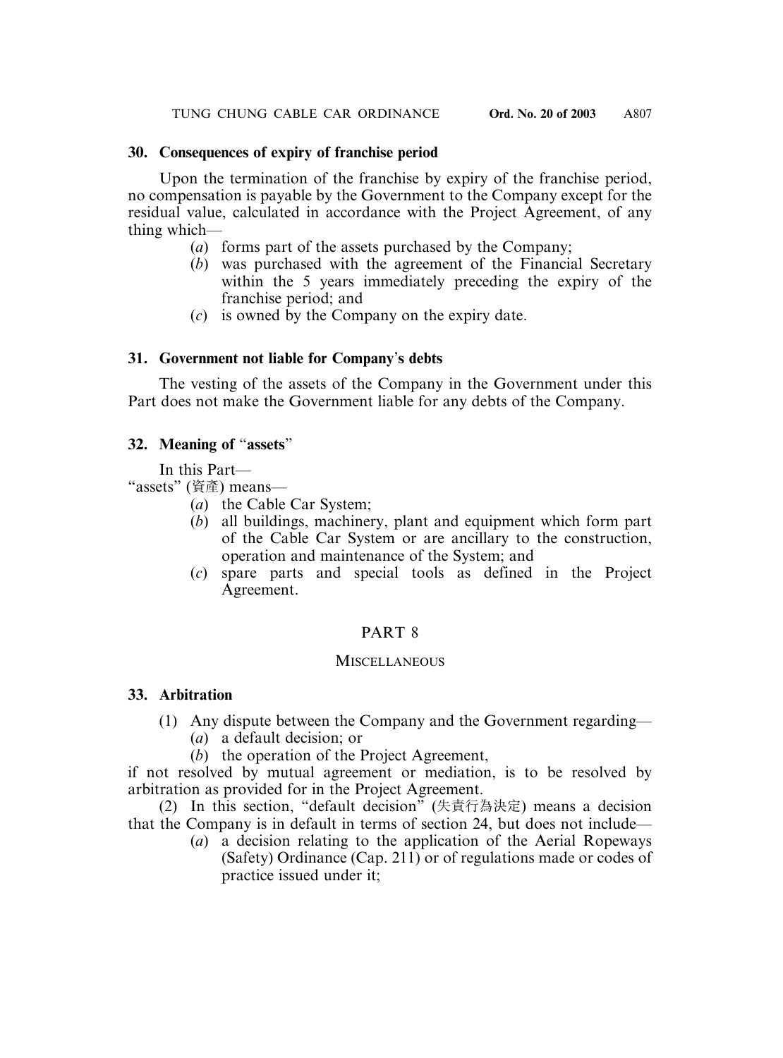## **30. Consequences of expiry of franchise period**

Upon the termination of the franchise by expiry of the franchise period, no compensation is payable by the Government to the Company except for the residual value, calculated in accordance with the Project Agreement, of any thing which—

- (*a*) forms part of the assets purchased by the Company;
- (*b*) was purchased with the agreement of the Financial Secretary within the 5 years immediately preceding the expiry of the franchise period; and
- (*c*) is owned by the Company on the expiry date.

## **31. Government not liable for Company**'**s debts**

The vesting of the assets of the Company in the Government under this Part does not make the Government liable for any debts of the Company.

## **32. Meaning of** "**assets**"

In this Part—

"assets" (資產) means—

- (*a*) the Cable Car System;
- (*b*) all buildings, machinery, plant and equipment which form part of the Cable Car System or are ancillary to the construction, operation and maintenance of the System; and
- (*c*) spare parts and special tools as defined in the Project Agreement.

## PART 8

## **MISCELLANEOUS**

## **33. Arbitration**

- (1) Any dispute between the Company and the Government regarding—
	- (*a*) a default decision; or
	- (*b*) the operation of the Project Agreement,

if not resolved by mutual agreement or mediation, is to be resolved by arbitration as provided for in the Project Agreement.

(2) In this section, "default decision" (失責行為決定) means a decision that the Company is in default in terms of section 24, but does not include—

(*a*) a decision relating to the application of the Aerial Ropeways (Safety) Ordinance (Cap. 211) or of regulations made or codes of practice issued under it;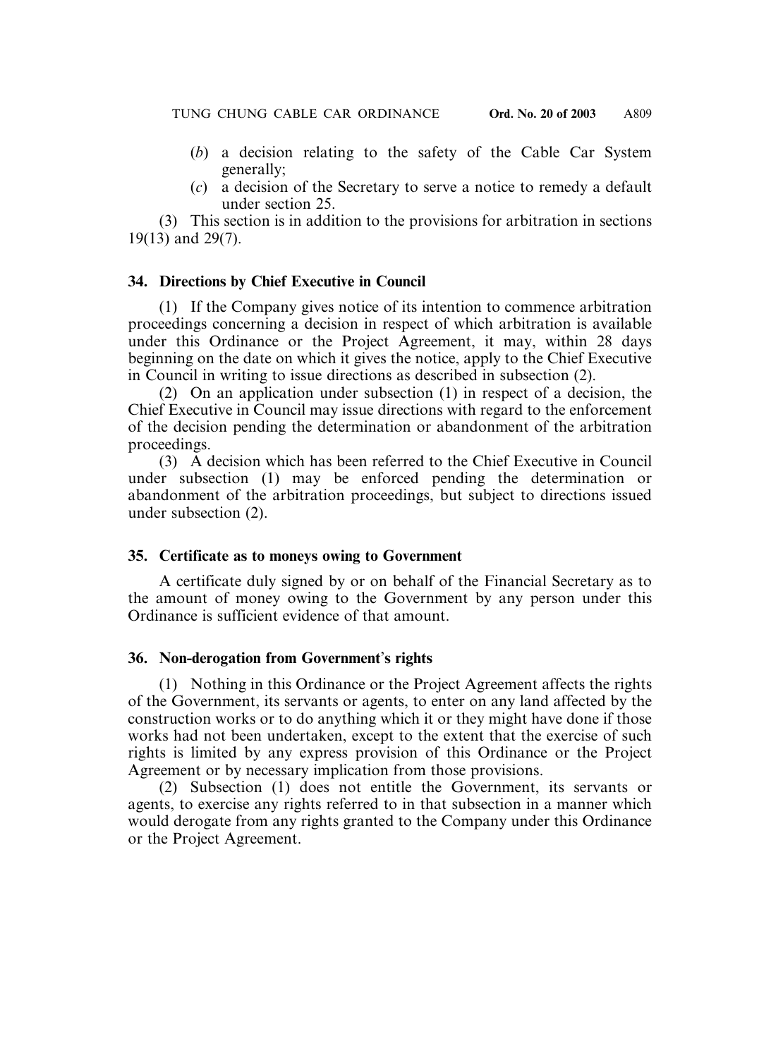- (*b*) a decision relating to the safety of the Cable Car System generally;
- (*c*) a decision of the Secretary to serve a notice to remedy a default under section 25.

(3) This section is in addition to the provisions for arbitration in sections 19(13) and 29(7).

#### **34. Directions by Chief Executive in Council**

(1) If the Company gives notice of its intention to commence arbitration proceedings concerning a decision in respect of which arbitration is available under this Ordinance or the Project Agreement, it may, within 28 days beginning on the date on which it gives the notice, apply to the Chief Executive in Council in writing to issue directions as described in subsection (2).

(2) On an application under subsection (1) in respect of a decision, the Chief Executive in Council may issue directions with regard to the enforcement of the decision pending the determination or abandonment of the arbitration proceedings.

(3) A decision which has been referred to the Chief Executive in Council under subsection (1) may be enforced pending the determination or abandonment of the arbitration proceedings, but subject to directions issued under subsection (2).

#### **35. Certificate as to moneys owing to Government**

A certificate duly signed by or on behalf of the Financial Secretary as to the amount of money owing to the Government by any person under this Ordinance is sufficient evidence of that amount.

#### **36. Non-derogation from Government**'**s rights**

(1) Nothing in this Ordinance or the Project Agreement affects the rights of the Government, its servants or agents, to enter on any land affected by the construction works or to do anything which it or they might have done if those works had not been undertaken, except to the extent that the exercise of such rights is limited by any express provision of this Ordinance or the Project Agreement or by necessary implication from those provisions.

(2) Subsection (1) does not entitle the Government, its servants or agents, to exercise any rights referred to in that subsection in a manner which would derogate from any rights granted to the Company under this Ordinance or the Project Agreement.